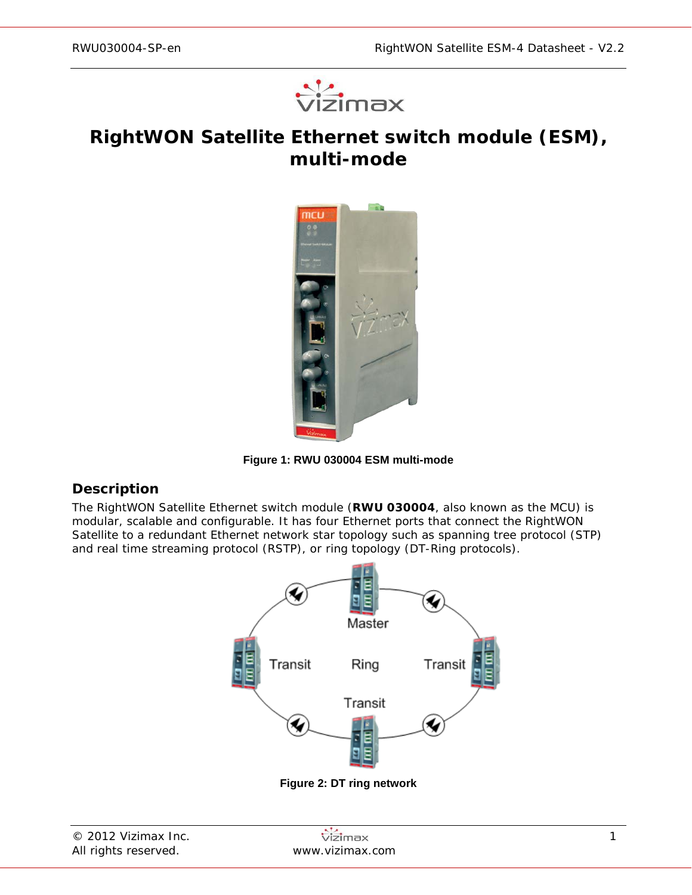

# **RightWON Satellite Ethernet switch module (ESM), multi-mode**



**Figure 1: RWU 030004 ESM multi-mode**

## **Description**

The RightWON Satellite Ethernet switch module (**RWU 030004**, also known as the *MCU*) is modular, scalable and configurable. It has four Ethernet ports that connect the RightWON Satellite to a redundant Ethernet network star topology such as spanning tree protocol (STP) and real time streaming protocol (RSTP), or ring topology (DT-Ring protocols).



**Figure 2: DT ring network**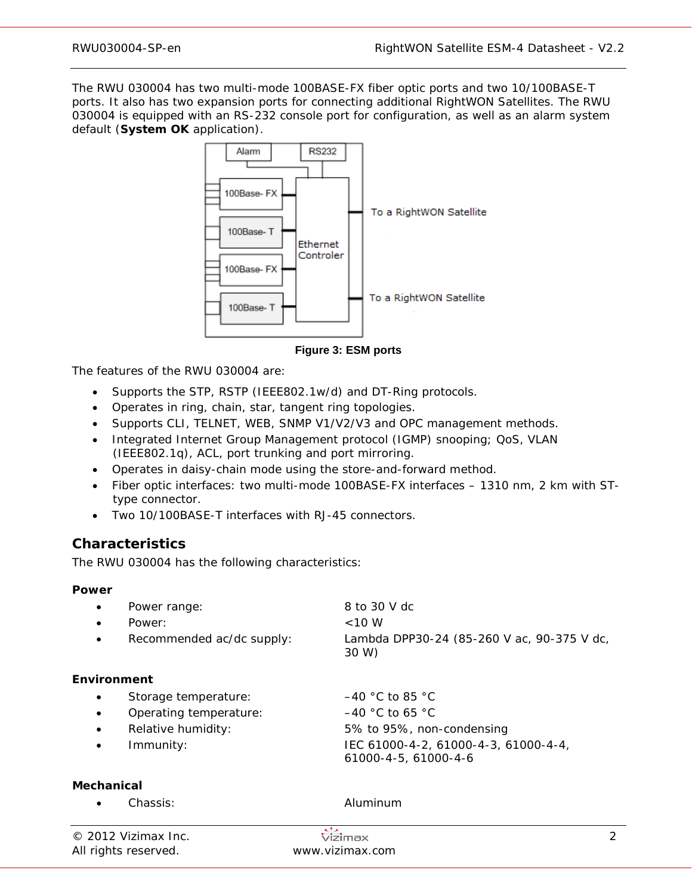The RWU 030004 has two multi-mode 100BASE-FX fiber optic ports and two 10/100BASE-T ports. It also has two expansion ports for connecting additional RightWON Satellites. The RWU 030004 is equipped with an RS-232 console port for configuration, as well as an alarm system default (**System OK** application).



**Figure 3: ESM ports**

The features of the RWU 030004 are:

- Supports the STP, RSTP (IEEE802.1w/d) and DT-Ring protocols.
- Operates in ring, chain, star, tangent ring topologies.
- Supports CLI, TELNET, WEB, SNMP V1/V2/V3 and OPC management methods.
- Integrated Internet Group Management protocol (IGMP) snooping; QoS, VLAN (IEEE802.1q), ACL, port trunking and port mirroring.
- Operates in daisy-chain mode using the store-and-forward method.
- Fiber optic interfaces: two multi-mode 100BASE-FX interfaces 1310 nm, 2 km with STtype connector.
- Two 10/100BASE-T interfaces with RJ-45 connectors.

## **Characteristics**

The RWU 030004 has the following characteristics:

#### **Power**

| $\bullet$   | Power range:<br>Power:<br>Recommended ac/dc supply: | 8 to 30 V dc<br>$<10$ W<br>Lambda DPP30-24 (85-260 V ac, 90-375 V dc,<br>30 W) |
|-------------|-----------------------------------------------------|--------------------------------------------------------------------------------|
| Environment |                                                     |                                                                                |
| $\bullet$   | Storage temperature:                                | $-40$ °C to 85 °C                                                              |
| $\bullet$   | Operating temperature:                              | $-40$ °C to 65 °C                                                              |
| $\bullet$   | Relative humidity:                                  | 5% to 95%, non-condensing                                                      |
| $\bullet$   | Immunity:                                           | IEC 61000-4-2, 61000-4-3, 61000-4-4,<br>61000-4-5, 61000-4-6                   |

#### **Mechanical**

• Chassis: Aluminum

| © 2012 Vizimax Inc.  | Vizimax         |  |
|----------------------|-----------------|--|
| All rights reserved. | www.vizimax.com |  |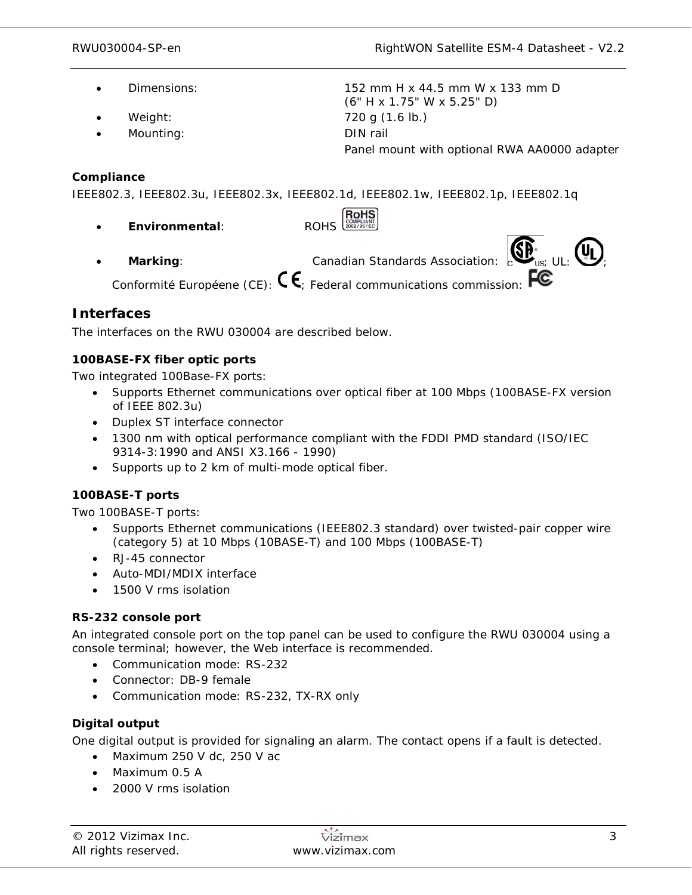- 
- 
- Mounting: DIN rail

• Dimensions: 152 mm H x 44.5 mm W x 133 mm D (6" H x 1.75" W x 5.25" D) • Weight: 720 g (1.6 lb.) Panel mount with optional RWA AA0000 adapter

#### **Compliance**

IEEE802.3, IEEE802.3u, IEEE802.3x, IEEE802.1d, IEEE802.1w, IEEE802.1p, IEEE802.1q

• **Environmental**: ROHS **Marking:** Canadian Standards Association:  $\sum_{\text{US: UL}} \left( \begin{matrix} 0 \\ \text{UL} \end{matrix} \right)$ 

Conformité Européene (CE):  $\mathsf{C}\mathsf{E}$  Federal communications commission:  $\mathsf{F}\mathsf{E}$ 

## **Interfaces**

The interfaces on the RWU 030004 are described below.

## **100BASE-FX fiber optic ports**

Two integrated 100Base-FX ports:

- Supports Ethernet communications over optical fiber at 100 Mbps (100BASE-FX version of IEEE 802.3u)
- Duplex ST interface connector
- 1300 nm with optical performance compliant with the FDDI PMD standard (ISO/IEC 9314-3:1990 and ANSI X3.166 - 1990)
- Supports up to 2 km of multi-mode optical fiber.

## **100BASE-T ports**

Two 100BASE-T ports:

- Supports Ethernet communications (IEEE802.3 standard) over twisted-pair copper wire (category 5) at 10 Mbps (10BASE-T) and 100 Mbps (100BASE-T)
- RJ-45 connector
- Auto-MDI/MDIX interface
- 1500 V rms isolation

## **RS-232 console port**

An integrated console port on the top panel can be used to configure the RWU 030004 using a console terminal; however, the Web interface is recommended.

- Communication mode: RS-232
- Connector: DB-9 female
- Communication mode: RS-232, TX-RX only

## **Digital output**

One digital output is provided for signaling an alarm. The contact opens if a fault is detected.

- Maximum 250 V dc, 250 V ac
- Maximum 0.5 A
- 2000 V rms isolation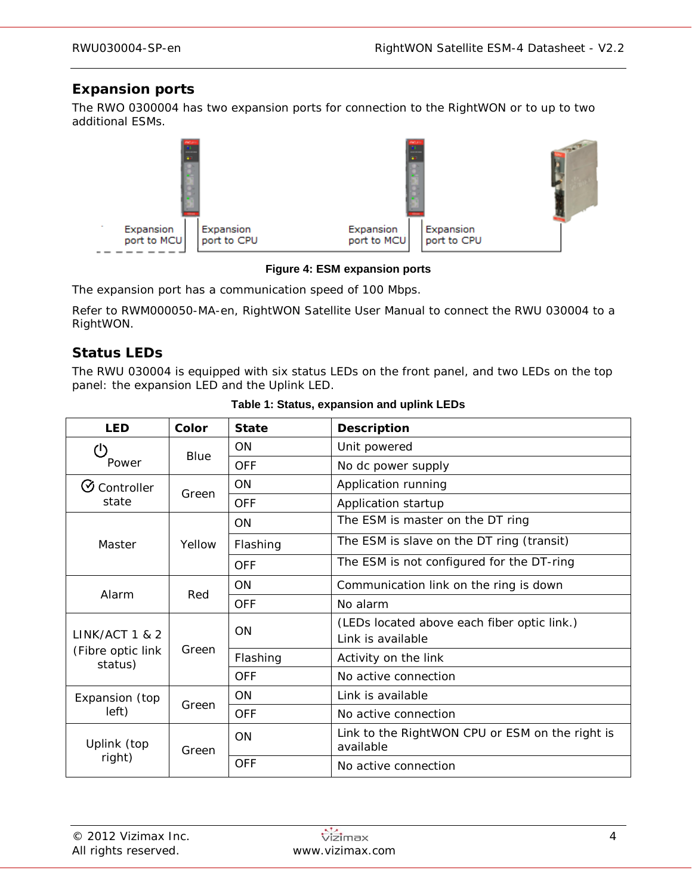# **Expansion ports**

The RWO 0300004 has two expansion ports for connection to the RightWON or to up to two additional ESMs.



**Figure 4: ESM expansion ports**

The expansion port has a communication speed of 100 Mbps.

Refer to RWM000050-MA-en, *RightWON Satellite User Manual* to connect the RWU 030004 to a RightWON.

# **Status LEDs**

The RWU 030004 is equipped with six status LEDs on the front panel, and two LEDs on the top panel: the expansion LED and the Uplink LED.

| <b>LED</b>                   | Color  | <b>State</b> | <b>Description</b>                                               |  |
|------------------------------|--------|--------------|------------------------------------------------------------------|--|
| (1                           |        | ON           | Unit powered                                                     |  |
| Power                        | Blue   | <b>OFF</b>   | No dc power supply                                               |  |
| $\mathfrak G$ Controller     | Green  | ON           | Application running                                              |  |
| state                        |        | <b>OFF</b>   | Application startup                                              |  |
|                              |        | <b>ON</b>    | The ESM is master on the DT ring                                 |  |
| Master                       | Yellow | Flashing     | The ESM is slave on the DT ring (transit)                        |  |
|                              |        | <b>OFF</b>   | The ESM is not configured for the DT-ring                        |  |
| Alarm                        |        | <b>ON</b>    | Communication link on the ring is down                           |  |
|                              | Red    | <b>OFF</b>   | No alarm                                                         |  |
| <b>LINK/ACT 1 &amp; 2</b>    | Green  | ON           | (LEDs located above each fiber optic link.)<br>Link is available |  |
| (Fibre optic link<br>status) |        | Flashing     | Activity on the link                                             |  |
|                              |        | <b>OFF</b>   | No active connection                                             |  |
| Expansion (top               | Green  | ON           | Link is available                                                |  |
| left)                        |        | <b>OFF</b>   | No active connection                                             |  |
| Uplink (top                  | Green  | ON           | Link to the RightWON CPU or ESM on the right is<br>available     |  |
| right)                       |        | <b>OFF</b>   | No active connection                                             |  |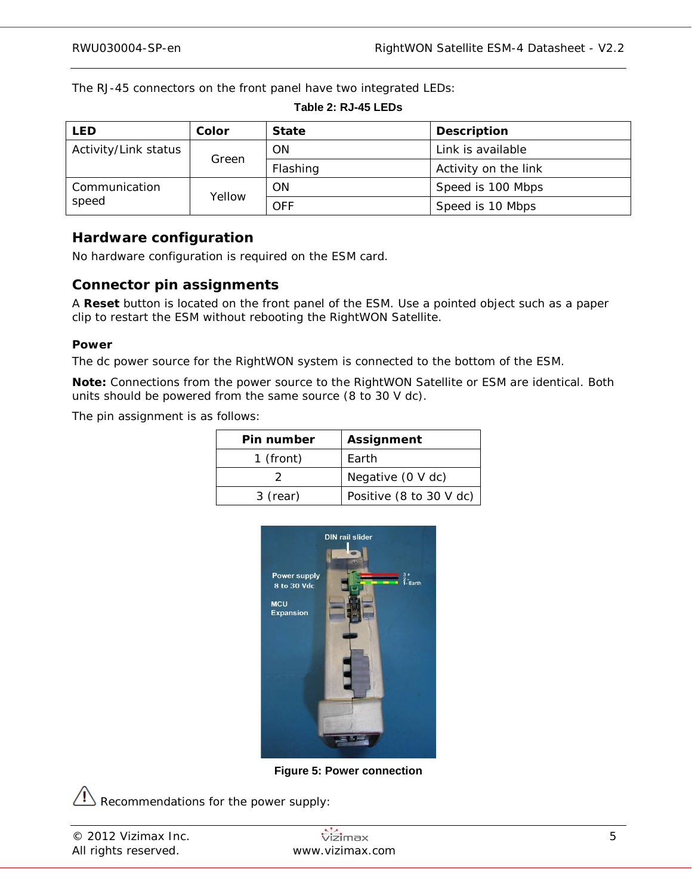The RJ-45 connectors on the front panel have two integrated LEDs:

## **Table 2: RJ-45 LEDs**

| <b>LED</b>           | Color  | <b>State</b> | <b>Description</b>   |
|----------------------|--------|--------------|----------------------|
| Activity/Link status |        | <b>ON</b>    | Link is available    |
|                      | Green  | Flashing     | Activity on the link |
| Communication        | Yellow | ON           | Speed is 100 Mbps    |
| speed                |        | <b>OFF</b>   | Speed is 10 Mbps     |

## **Hardware configuration**

No hardware configuration is required on the ESM card.

## **Connector pin assignments**

A **Reset** button is located on the front panel of the ESM. Use a pointed object such as a paper clip to restart the ESM without rebooting the RightWON Satellite.

#### **Power**

The dc power source for the RightWON system is connected to the bottom of the ESM.

**Note:** Connections from the power source to the RightWON Satellite or ESM are identical. Both units should be powered from the same source (8 to 30 V dc).

The pin assignment is as follows:

| Pin number | <b>Assignment</b>       |
|------------|-------------------------|
| 1 (front)  | Earth                   |
|            | Negative (0 V dc)       |
| 3 (rear)   | Positive (8 to 30 V dc) |



**Figure 5: Power connection**

 $\langle \cdot | \cdot \rangle$  Recommendations for the power supply:

| © 2012 Vizimax Inc.  | Vizimax         |  |
|----------------------|-----------------|--|
| All rights reserved. | www.vizimax.com |  |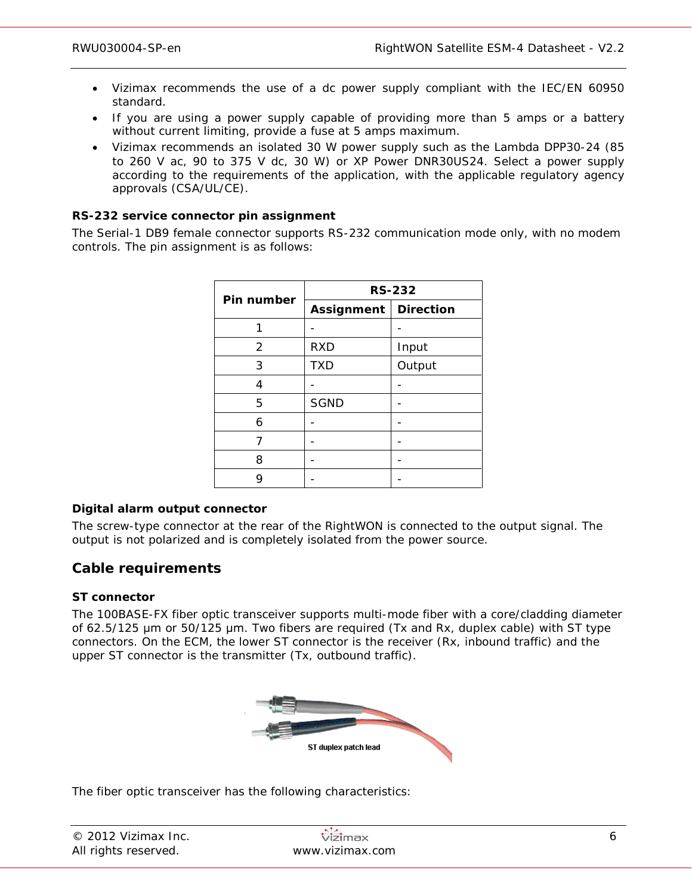- Vizimax recommends the use of a dc power supply compliant with the IEC/EN 60950 standard.
- If you are using a power supply capable of providing more than 5 amps or a battery without current limiting, provide a fuse at 5 amps maximum.
- Vizimax recommends an isolated 30 W power supply such as the Lambda DPP30-24 (85 to 260 V ac, 90 to 375 V dc, 30 W) or XP Power DNR30US24. Select a power supply according to the requirements of the application, with the applicable regulatory agency approvals (CSA/UL/CE).

## **RS-232 service connector pin assignment**

The Serial-1 DB9 female connector supports RS-232 communication mode only, with no modem controls. The pin assignment is as follows:

| Pin number | <b>RS-232</b> |                  |  |
|------------|---------------|------------------|--|
|            | Assignment    | <b>Direction</b> |  |
|            |               |                  |  |
| 2          | <b>RXD</b>    | Input            |  |
| 3          | <b>TXD</b>    | Output           |  |
| 4          |               |                  |  |
| 5          | <b>SGND</b>   |                  |  |
| 6          |               |                  |  |
| 7          |               |                  |  |
| 8          |               |                  |  |
| g          |               |                  |  |

## **Digital alarm output connector**

The screw-type connector at the rear of the RightWON is connected to the output signal. The output is not polarized and is completely isolated from the power source.

## **Cable requirements**

#### **ST connector**

The 100BASE-FX fiber optic transceiver supports multi-mode fiber with a core/cladding diameter of 62.5/125 μm or 50/125 μm. Two fibers are required (Tx and Rx, duplex cable) with ST type connectors. On the ECM, the lower ST connector is the receiver (Rx, inbound traffic) and the upper ST connector is the transmitter (Tx, outbound traffic).



The fiber optic transceiver has the following characteristics:

| © 2012 Vizimax Inc.  | <b>Vizimax</b>  |  |
|----------------------|-----------------|--|
| All rights reserved. | www.vizimax.com |  |